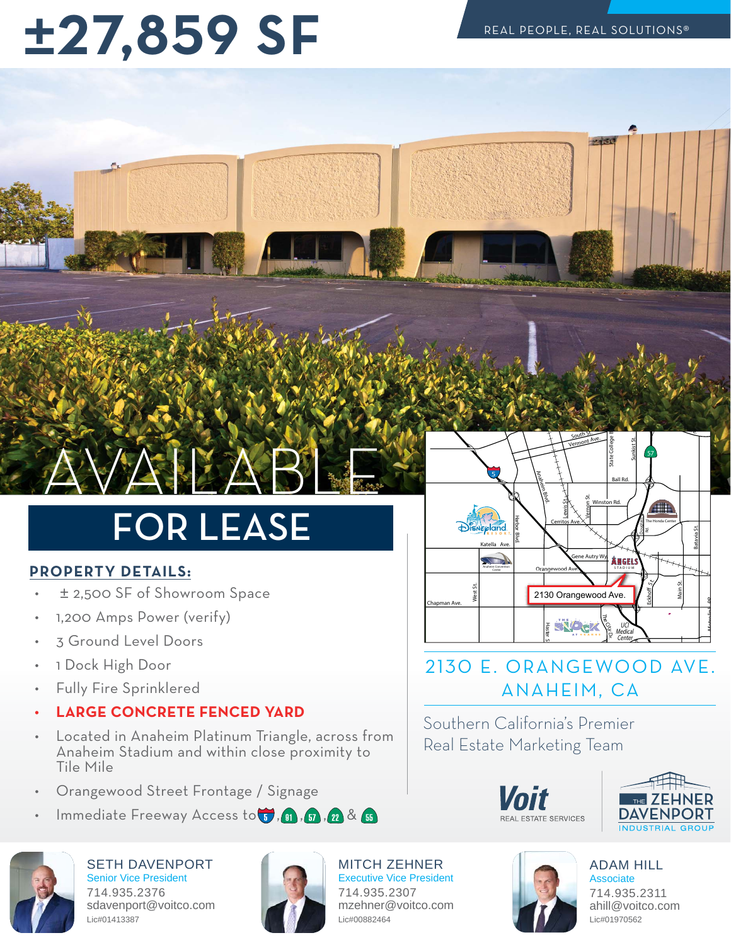## $\pm 27,859$  SF

## **JAPAR**

### **FOR LEASE** FOR LEASE

#### **PROPERTY DETAILS:**

- ± 2,500 SF of Showroom Space
- 1,200 Amps Power (verify)
- 3 Ground Level Doors
- 1 Dock High Door
- Fully Fire Sprinklered
- **LARGE CONCRETE FENCED YARD**
- Located in Anaheim Platinum Triangle, across from Anaheim Stadium and within close proximity to Tile Mile
- Orangewood Street Frontage / Signage
- Immediate Freeway Access to  $\mathbb{G}$  ,  $\mathbb{G}$  ,  $\mathbb{G}$  ,  $\mathbb{Z}$  &  $\mathbb{G}$



SETH DAVENPORT Senior Vice President 714.935.2376 sdavenport@voitco.com Lic#01413387



MITCH ZEHNER Executive Vice President 714.935.2307 mzehner@voitco.com Lic#00882464



#### 2130 E. ORANGEWOOD AVE. ANAHEIM, CA

Southern California's Premier Doal Estato Marketing Toam Real Estate Marketing Team





ADAM HILL **Associate** 714.935.2311 ahill@voitco.com Lic#01970562